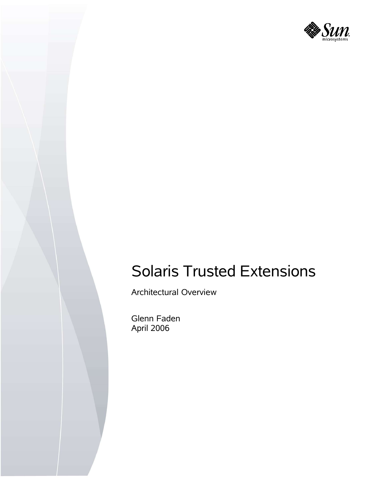

# Solaris Trusted Extensions

Architectural Overview

Glenn Faden April 2006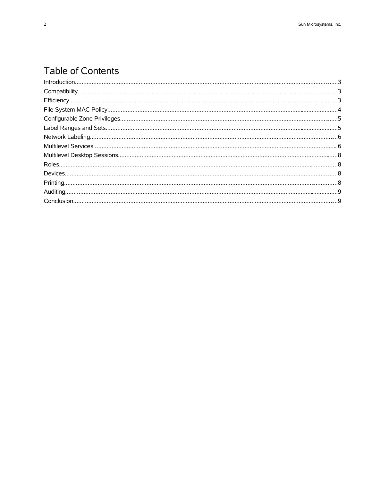# **Table of Contents**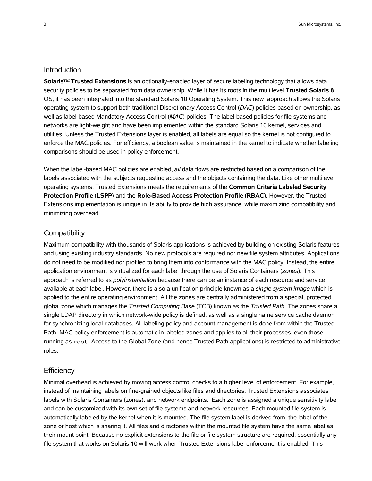# Introduction

**Solaris™ Trusted Extensions** is an optionally-enabled layer of secure labeling technology that allows data security policies to be separated from data ownership. While it has its roots in the multilevel **Trusted Solaris 8** OS, it has been integrated into the standard Solaris 10 Operating System. This new approach allows the Solaris operating system to support both traditional Discretionary Access Control (*DAC*) policies based on ownership, as well as label-based Mandatory Access Control (*MAC*) policies. The label-based policies for file systems and networks are light-weight and have been implemented within the standard Solaris 10 kernel, services and utilities. Unless the Trusted Extensions layer is enabled, all labels are equal so the kernel is not configured to enforce the MAC policies. For efficiency, a boolean value is maintained in the kernel to indicate whether labeling comparisons should be used in policy enforcement.

When the label-based MAC policies are enabled, *all* data flows are restricted based on a comparison of the labels associated with the subjects requesting access and the objects containing the data. Like other multilevel operating systems, Trusted Extensions meets the requirements of the **Common Criteria Labeled Security Protection Profile** (**LSPP**) and the **Role-Based Access Protection Profile (RBAC)**. However, the Trusted Extensions implementation is unique in its ability to provide high assurance, while maximizing compatibility and minimizing overhead.

# **Compatibility**

Maximum compatibility with thousands of Solaris applications is achieved by building on existing Solaris features and using existing industry standards. No new protocols are required nor new file system attributes. Applications do not need to be modified nor profiled to bring them into conformance with the MAC policy. Instead, the entire application environment is virtualized for each label through the use of Solaris Containers (*zones*). This approach is referred to as *polyinstantiation* because there can be an instance of each resource and service available at each label. However, there is also a unification principle known as a *single system image* which is applied to the entire operating environment. All the zones are centrally administered from a special, protected global zone which manages the *Trusted Computing Base* (TCB) known as the *Trusted Path.* The zones share a single LDAP directory in which network-wide policy is defined, as well as a single name service cache daemon for synchronizing local databases. All labeling policy and account management is done from within the Trusted Path. MAC policy enforcement is automatic in labeled zones and applies to all their processes, even those running as root. Access to the Global Zone (and hence Trusted Path applications) is restricted to administrative roles.

### **Efficiency**

Minimal overhead is achieved by moving access control checks to a higher level of enforcement. For example, instead of maintaining labels on fine-grained objects like files and directories, Trusted Extensions associates labels with Solaris Containers (zones), and network endpoints. Each zone is assigned a unique sensitivity label and can be customized with its own set of file systems and network resources. Each mounted file system is automatically labeled by the kernel when it is mounted. The file system label is derived from the label of the zone or host which is sharing it. All files and directories within the mounted file system have the same label as their mount point. Because no explicit extensions to the file or file system structure are required, essentially any file system that works on Solaris 10 will work when Trusted Extensions label enforcement is enabled. This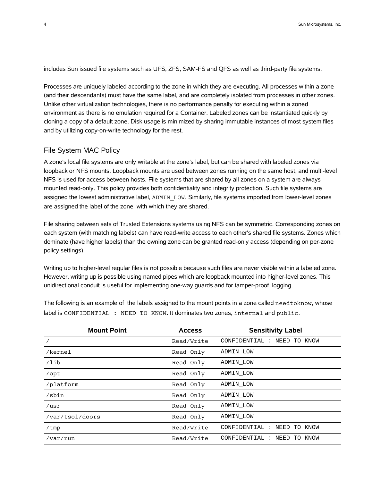includes Sun issued file systems such as UFS, ZFS, SAM-FS and QFS as well as third-party file systems.

Processes are uniquely labeled according to the zone in which they are executing. All processes within a zone (and their descendants) must have the same label, and are completely isolated from processes in other zones. Unlike other virtualization technologies, there is no performance penalty for executing within a zoned environment as there is no emulation required for a Container. Labeled zones can be instantiated quickly by cloning a copy of a default zone. Disk usage is minimized by sharing immutable instances of most system files and by utilizing copy-on-write technology for the rest.

### File System MAC Policy

A zone's local file systems are only writable at the zone's label, but can be shared with labeled zones via loopback or NFS mounts. Loopback mounts are used between zones running on the same host, and multi-level NFS is used for access between hosts. File systems that are shared by all zones on a system are always mounted read-only. This policy provides both confidentiality and integrity protection. Such file systems are assigned the lowest administrative label, ADMIN\_LOW. Similarly, file systems imported from lower-level zones are assigned the label of the zone with which they are shared.

File sharing between sets of Trusted Extensions systems using NFS can be symmetric. Corresponding zones on each system (with matching labels) can have read-write access to each other's shared file systems. Zones which dominate (have higher labels) than the owning zone can be granted read-only access (depending on per-zone policy settings).

Writing up to higher-level regular files is not possible because such files are never visible within a labeled zone. However, writing up is possible using named pipes which are loopback mounted into higher-level zones. This unidirectional conduit is useful for implementing one-way guards and for tamper-proof logging.

The following is an example of the labels assigned to the mount points in a zone called needtoknow, whose label is CONFIDENTIAL : NEED TO KNOW**.** It dominates two zones, internal and public.

| <b>Mount Point</b> | <b>Access</b> | <b>Sensitivity Label</b>                                   |
|--------------------|---------------|------------------------------------------------------------|
|                    | Read/Write    | CONFIDENTIAL : NEED<br>TO KNOW                             |
| /kernel            | Read Only     | ADMIN LOW                                                  |
| $\sqrt{1ib}$       | Read Only     | ADMIN LOW                                                  |
| /opt               | Read Only     | ADMIN_LOW                                                  |
| /platform          | Read Only     | ADMIN LOW                                                  |
| $/s$ hin           | Read Only     | ADMIN LOW                                                  |
| $\sqrt{usr}$       | Read Only     | ADMIN LOW                                                  |
| /var/tsol/doors    | Read Only     | ADMIN LOW                                                  |
| /tmp               | Read/Write    | CONFIDENTIAL<br>NEED<br>KNOW<br>TO<br>$\ddot{\phantom{0}}$ |
| /var/run           | Read/Write    | CONFIDENTIAL<br>NEED<br>KNOW<br>TO.<br>$\ddot{\cdot}$      |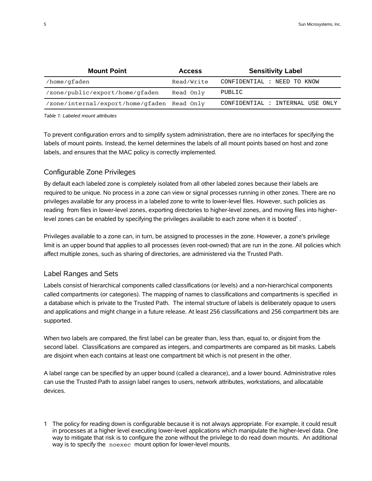| <b>Mount Point</b>                          | <b>Access</b> | <b>Sensitivity Label</b>         |
|---------------------------------------------|---------------|----------------------------------|
| /home/gfaden                                | Read/Write    | CONFIDENTIAL : NEED TO KNOW      |
| /zone/public/export/home/gfaden             | Read Only     | PUBLIC                           |
| /zone/internal/export/home/gfaden Read Only |               | CONFIDENTIAL : INTERNAL USE ONLY |

*Table 1: Labeled mount attributes*

To prevent configuration errors and to simplify system administration, there are no interfaces for specifying the labels of mount points. Instead, the kernel determines the labels of all mount points based on host and zone labels, and ensures that the MAC policy is correctly implemented.

# Configurable Zone Privileges

By default each labeled zone is completely isolated from all other labeled zones because their labels are required to be unique. No process in a zone can view or signal processes running in other zones. There are no privileges available for any process in a labeled zone to write to lower-level files. However, such policies as reading from files in lower-level zones, exporting directories to higher-level zones, and moving files into higherlevel zones can be enabled by specifying the privileges available to each zone when it is booted<sup>1</sup>.

Privileges available to a zone can, in turn, be assigned to processes in the zone. However, a zone's privilege limit is an upper bound that applies to all processes (even root-owned) that are run in the zone. All policies which affect multiple zones, such as sharing of directories, are administered via the Trusted Path.

# Label Ranges and Sets

Labels consist of hierarchical components called classifications (or levels) and a non-hierarchical components called compartments (or categories). The mapping of names to classifications and compartments is specified in a database which is private to the Trusted Path. The internal structure of labels is deliberately opaque to users and applications and might change in a future release. At least 256 classifications and 256 compartment bits are supported.

When two labels are compared, the first label can be greater than, less than, equal to, or disjoint from the second label. Classifications are compared as integers, and compartments are compared as bit masks. Labels are disjoint when each contains at least one compartment bit which is not present in the other.

A label range can be specified by an upper bound (called a clearance), and a lower bound. Administrative roles can use the Trusted Path to assign label ranges to users, network attributes, workstations, and allocatable devices.

1 The policy for reading down is configurable because it is not always appropriate. For example, it could result in processes at a higher level executing lower-level applications which manipulate the higher-level data. One way to mitigate that risk is to configure the zone without the privilege to do read down mounts. An additional way is to specify the noexec mount option for lower-level mounts.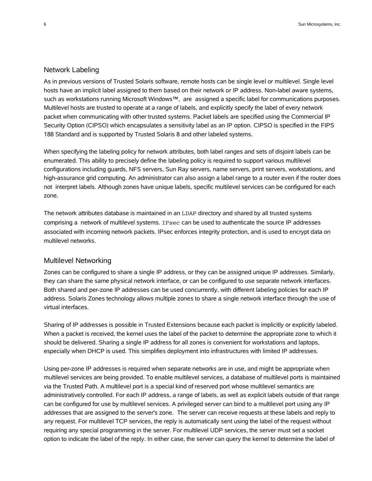# Network Labeling

As in previous versions of Trusted Solaris software, remote hosts can be single level or multilevel. Single level hosts have an implicit label assigned to them based on their network or IP address. Non-label aware systems, such as workstations running Microsoft Windows™, are assigned a specific label for communications purposes. Multilevel hosts are trusted to operate at a range of labels, and explicitly specify the label of every network packet when communicating with other trusted systems. Packet labels are specified using the Commercial IP Security Option (CIPSO) which encapsulates a sensitivity label as an IP option. CIPSO is specified in the FIPS 188 Standard and is supported by Trusted Solaris 8 and other labeled systems.

When specifying the labeling policy for network attributes, both label ranges and sets of disjoint labels can be enumerated. This ability to precisely define the labeling policy is required to support various multilevel configurations including guards, NFS servers, Sun Ray servers, name servers, print servers, workstations, and high-assurance grid computing. An administrator can also assign a label range to a router even if the router does not interpret labels. Although zones have unique labels, specific multilevel services can be configured for each zone.

The network attributes database is maintained in an LDAP directory and shared by all trusted systems comprising a network of multilevel systems. IPsec can be used to authenticate the source IP addresses associated with incoming network packets. IPsec enforces integrity protection, and is used to encrypt data on multilevel networks.

# Multilevel Networking

Zones can be configured to share a single IP address, or they can be assigned unique IP addresses. Similarly, they can share the same physical network interface, or can be configured to use separate network interfaces. Both shared and per-zone IP addresses can be used concurrently, with different labeling policies for each IP address. Solaris Zones technology allows multiple zones to share a single network interface through the use of virtual interfaces.

Sharing of IP addresses is possible in Trusted Extensions because each packet is implicitly or explicitly labeled. When a packet is received, the kernel uses the label of the packet to determine the appropriate zone to which it should be delivered. Sharing a single IP address for all zones is convenient for workstations and laptops, especially when DHCP is used. This simplifies deployment into infrastructures with limited IP addresses.

Using per-zone IP addresses is required when separate networks are in use, and might be appropriate when multilevel services are being provided. To enable multilevel services, a database of multilevel ports is maintained via the Trusted Path. A multilevel port is a special kind of reserved port whose multilevel semantics are administratively controlled. For each IP address, a range of labels, as well as explicit labels outside of that range can be configured for use by multilevel services. A privileged server can bind to a multilevel port using any IP addresses that are assigned to the server's zone. The server can receive requests at these labels and reply to any request. For multilevel TCP services, the reply is automatically sent using the label of the request without requiring any special programming in the server. For multilevel UDP services, the server must set a socket option to indicate the label of the reply. In either case, the server can query the kernel to determine the label of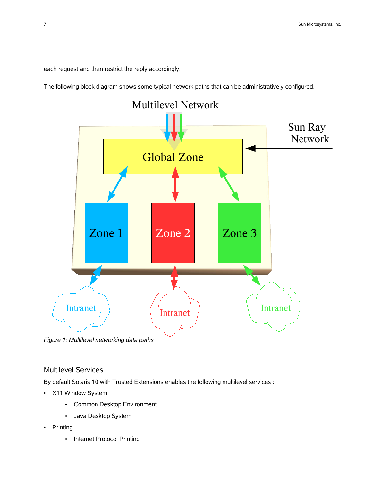each request and then restrict the reply accordingly.

The following block diagram shows some typical network paths that can be administratively configured.



*Figure 1: Multilevel networking data paths*

# Multilevel Services

By default Solaris 10 with Trusted Extensions enables the following multilevel services :

- X11 Window System
	- Common Desktop Environment
	- Java Desktop System
- Printing
	- Internet Protocol Printing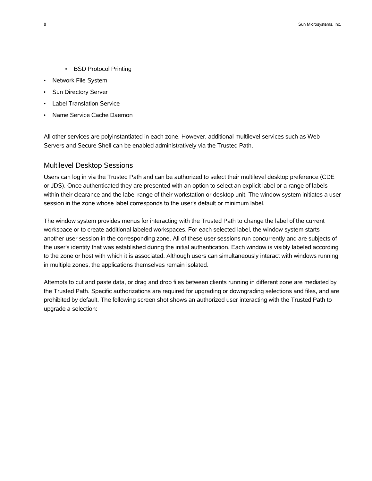- BSD Protocol Printing
- Network File System
- Sun Directory Server
- Label Translation Service
- Name Service Cache Daemon

All other services are polyinstantiated in each zone. However, additional multilevel services such as Web Servers and Secure Shell can be enabled administratively via the Trusted Path.

#### Multilevel Desktop Sessions

Users can log in via the Trusted Path and can be authorized to select their multilevel desktop preference (CDE or JDS). Once authenticated they are presented with an option to select an explicit label or a range of labels within their clearance and the label range of their workstation or desktop unit. The window system initiates a user session in the zone whose label corresponds to the user's default or minimum label.

The window system provides menus for interacting with the Trusted Path to change the label of the current workspace or to create additional labeled workspaces. For each selected label, the window system starts another user session in the corresponding zone. All of these user sessions run concurrently and are subjects of the user's identity that was established during the initial authentication. Each window is visibly labeled according to the zone or host with which it is associated. Although users can simultaneously interact with windows running in multiple zones, the applications themselves remain isolated.

Attempts to cut and paste data, or drag and drop files between clients running in different zone are mediated by the Trusted Path. Specific authorizations are required for upgrading or downgrading selections and files, and are prohibited by default. The following screen shot shows an authorized user interacting with the Trusted Path to upgrade a selection: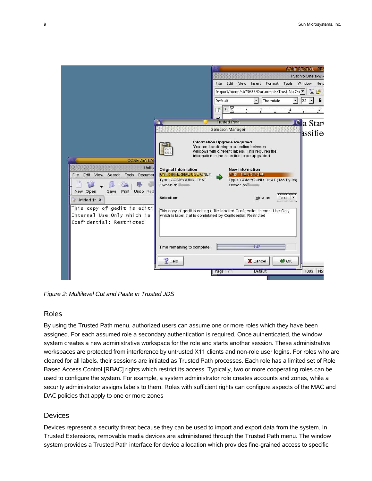

*Figure 2: Multilevel Cut and Paste in Trusted JDS*

#### Roles

By using the Trusted Path menu, authorized users can assume one or more roles which they have been assigned. For each assumed role a secondary authentication is required. Once authenticated, the window system creates a new administrative workspace for the role and starts another session. These administrative workspaces are protected from interference by untrusted X11 clients and non-role user logins. For roles who are cleared for all labels, their sessions are initiated as Trusted Path processes. Each role has a limited set of Role Based Access Control [RBAC] rights which restrict its access. Typically, two or more cooperating roles can be used to configure the system. For example, a system administrator role creates accounts and zones, while a security administrator assigns labels to them. Roles with sufficient rights can configure aspects of the MAC and DAC policies that apply to one or more zones

#### Devices

Devices represent a security threat because they can be used to import and export data from the system. In Trusted Extensions, removable media devices are administered through the Trusted Path menu. The window system provides a Trusted Path interface for device allocation which provides fine-grained access to specific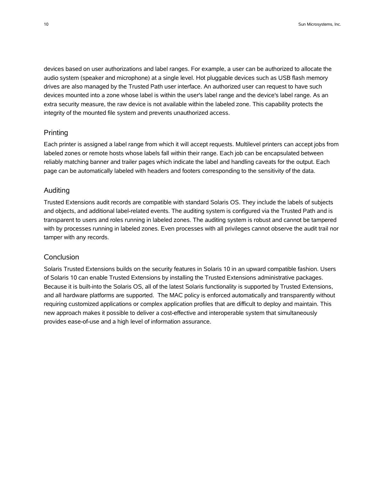devices based on user authorizations and label ranges. For example, a user can be authorized to allocate the audio system (speaker and microphone) at a single level. Hot pluggable devices such as USB flash memory drives are also managed by the Trusted Path user interface. An authorized user can request to have such devices mounted into a zone whose label is within the user's label range and the device's label range. As an extra security measure, the raw device is not available within the labeled zone. This capability protects the integrity of the mounted file system and prevents unauthorized access.

### Printing

Each printer is assigned a label range from which it will accept requests. Multilevel printers can accept jobs from labeled zones or remote hosts whose labels fall within their range. Each job can be encapsulated between reliably matching banner and trailer pages which indicate the label and handling caveats for the output. Each page can be automatically labeled with headers and footers corresponding to the sensitivity of the data.

### Auditing

Trusted Extensions audit records are compatible with standard Solaris OS. They include the labels of subjects and objects, and additional label-related events. The auditing system is configured via the Trusted Path and is transparent to users and roles running in labeled zones. The auditing system is robust and cannot be tampered with by processes running in labeled zones. Even processes with all privileges cannot observe the audit trail nor tamper with any records.

### Conclusion

Solaris Trusted Extensions builds on the security features in Solaris 10 in an upward compatible fashion. Users of Solaris 10 can enable Trusted Extensions by installing the Trusted Extensions administrative packages. Because it is built-into the Solaris OS, all of the latest Solaris functionality is supported by Trusted Extensions, and all hardware platforms are supported. The MAC policy is enforced automatically and transparently without requiring customized applications or complex application profiles that are difficult to deploy and maintain. This new approach makes it possible to deliver a cost-effective and interoperable system that simultaneously provides ease-of-use and a high level of information assurance.